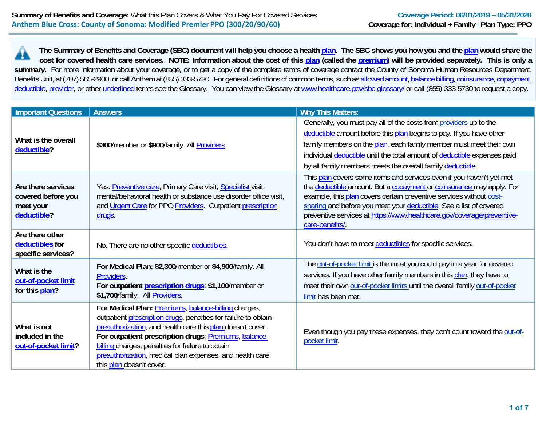**The Summary of Benefits and Coverage (SBC) document will help you choose a health plan. The SBC shows you how you and the plan would share the**  cost for covered health care services. NOTE: Information about the cost of this plan (called the premium) will be provided separately. This is only a summary. For more information about your coverage, or to get a copy of the complete terms of coverage contact the County of Sonoma Human Resources Department, Benefits Unit, at (707) 565-2900, or call Anthem at (855) 333-5730. For general definitions of common terms, such as allowed amount, balance billing, coinsurance, copayment, deductible, provider, or other underlined terms see the Glossary. You can view the Glossary at www.healthcare.gov/sbc-glossary/ or call (855) 333-5730 to request a copy.

| <b>Important Questions</b>                                           | <b>Answers</b>                                                                                                                                                                                                                                                                                                                                                                            | <b>Why This Matters:</b>                                                                                                                                                                                                                                                                                                                                                               |
|----------------------------------------------------------------------|-------------------------------------------------------------------------------------------------------------------------------------------------------------------------------------------------------------------------------------------------------------------------------------------------------------------------------------------------------------------------------------------|----------------------------------------------------------------------------------------------------------------------------------------------------------------------------------------------------------------------------------------------------------------------------------------------------------------------------------------------------------------------------------------|
| What is the overall<br>deductible?                                   | \$300/member or \$900/family. All Providers.                                                                                                                                                                                                                                                                                                                                              | Generally, you must pay all of the costs from providers up to the<br>deductible amount before this plan begins to pay. If you have other<br>family members on the plan, each family member must meet their own<br>individual deductible until the total amount of deductible expenses paid<br>by all family members meets the overall family deductible.                               |
| Are there services<br>covered before you<br>meet your<br>deductible? | Yes. Preventive care, Primary Care visit, Specialist visit,<br>mental/behavioral health or substance use disorder office visit,<br>and Urgent Care for PPO Providers. Outpatient prescription<br><u>drugs</u> .                                                                                                                                                                           | This plan covers some items and services even if you haven't yet met<br>the deductible amount. But a copayment or coinsurance may apply. For<br>example, this plan covers certain preventive services without cost-<br>sharing and before you meet your deductible. See a list of covered<br>preventive services at https://www.healthcare.gov/coverage/preventive-<br>care-benefits/. |
| Are there other<br>deductibles for<br>specific services?             | No. There are no other specific deductibles.                                                                                                                                                                                                                                                                                                                                              | You don't have to meet deductibles for specific services.                                                                                                                                                                                                                                                                                                                              |
| What is the<br>out-of-pocket limit<br>for this plan?                 | For Medical Plan: \$2,300/member or \$4,900/family. All<br>Providers.<br>For outpatient <i>prescription drugs</i> : \$1,100/member or<br>\$1,700/family. All Providers.                                                                                                                                                                                                                   | The out-of-pocket limit is the most you could pay in a year for covered<br>services. If you have other family members in this plan, they have to<br>meet their own out-of-pocket limits until the overall family out-of-pocket<br>limit has been met.                                                                                                                                  |
| What is not<br>included in the<br>out-of-pocket limit?               | For Medical Plan: Premiums, balance-billing charges,<br>outpatient prescription drugs, penalties for failure to obtain<br>preauthorization, and health care this plan doesn't cover.<br>For outpatient prescription drugs: Premiums, balance-<br>billing charges, penalties for failure to obtain<br>preauthorization, medical plan expenses, and health care<br>this plan doesn't cover. | Even though you pay these expenses, they don't count toward the out-of-<br>pocket limit.                                                                                                                                                                                                                                                                                               |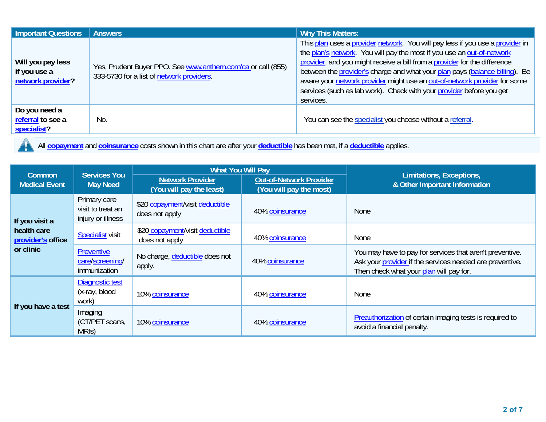| <b>Important Questions</b>                             | <b>Answers</b>                                                                                           | <b>Why This Matters:</b>                                                                                                                                                                                                                                                                                                                                                                                                                                                              |
|--------------------------------------------------------|----------------------------------------------------------------------------------------------------------|---------------------------------------------------------------------------------------------------------------------------------------------------------------------------------------------------------------------------------------------------------------------------------------------------------------------------------------------------------------------------------------------------------------------------------------------------------------------------------------|
| Will you pay less<br>if you use a<br>network provider? | Yes, Prudent Buyer PPO. See www.anthem.com/ca or call (855)<br>333-5730 for a list of network providers. | This plan uses a provider network. You will pay less if you use a provider in<br>the plan's network. You will pay the most if you use an out-of-network<br>provider, and you might receive a bill from a provider for the difference<br>between the provider's charge and what your plan pays (balance billing). Be<br>aware your network provider might use an out-of-network provider for some<br>services (such as lab work). Check with your provider before you get<br>services. |
| Do you need a<br>referral to see a<br>specialist?      | No.                                                                                                      | You can see the specialist you choose without a referral.                                                                                                                                                                                                                                                                                                                                                                                                                             |

All **copayment** and **coinsurance** costs shown in this chart are after your **deductible** has been met, if a **deductible** applies.  $\mathbf{y}$ 

| <b>Common</b>                    | <b>Services You</b>                                    | <b>What You Will Pay</b>                            |                                                           | Limitations, Exceptions,                                                                                                                                        |  |
|----------------------------------|--------------------------------------------------------|-----------------------------------------------------|-----------------------------------------------------------|-----------------------------------------------------------------------------------------------------------------------------------------------------------------|--|
| <b>Medical Event</b>             | <b>May Need</b>                                        | <b>Network Provider</b><br>(You will pay the least) | <b>Out-of-Network Provider</b><br>(You will pay the most) | & Other Important Information                                                                                                                                   |  |
| If you visit a                   | Primary care<br>visit to treat an<br>injury or illness | \$20 copayment/visit deductible<br>does not apply   | 40% coinsurance                                           | <b>None</b>                                                                                                                                                     |  |
| health care<br>provider's office | <b>Specialist visit</b>                                | \$20 copayment/visit deductible<br>does not apply   | 40% coinsurance                                           | None                                                                                                                                                            |  |
| or clinic                        | Preventive<br>care/screening/<br>immunization          | No charge, deductible does not<br>apply.            | 40% coinsurance                                           | You may have to pay for services that aren't preventive.<br>Ask your provider if the services needed are preventive.<br>Then check what your plan will pay for. |  |
|                                  | Diagnostic test<br>(x-ray, blood<br>work)              | 10% coinsurance                                     | 40% coinsurance                                           | <b>None</b>                                                                                                                                                     |  |
| If you have a test               | Imaging<br>(CT/PET scans,<br>MRIS)                     | 10% coinsurance                                     | 40% coinsurance                                           | <b>Preauthorization</b> of certain imaging tests is required to<br>avoid a financial penalty.                                                                   |  |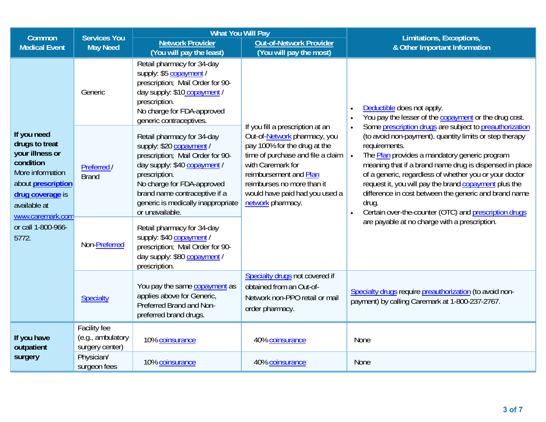| <b>What You Will Pay</b><br><b>Services You</b><br>Common                                                                                                              |                                                                                                                                                                                                                                                                                                    | Limitations, Exceptions,                                                                                                                                                                                                        |                                                                                                                                                                                                                                                                           |                                                                                                                                                                                                                                                                                                                                                                                                                                                                                                                         |  |
|------------------------------------------------------------------------------------------------------------------------------------------------------------------------|----------------------------------------------------------------------------------------------------------------------------------------------------------------------------------------------------------------------------------------------------------------------------------------------------|---------------------------------------------------------------------------------------------------------------------------------------------------------------------------------------------------------------------------------|---------------------------------------------------------------------------------------------------------------------------------------------------------------------------------------------------------------------------------------------------------------------------|-------------------------------------------------------------------------------------------------------------------------------------------------------------------------------------------------------------------------------------------------------------------------------------------------------------------------------------------------------------------------------------------------------------------------------------------------------------------------------------------------------------------------|--|
| <b>Medical Event</b>                                                                                                                                                   | <b>May Need</b>                                                                                                                                                                                                                                                                                    | <b>Network Provider</b>                                                                                                                                                                                                         | <b>Out-of-Network Provider</b>                                                                                                                                                                                                                                            | & Other Important Information                                                                                                                                                                                                                                                                                                                                                                                                                                                                                           |  |
|                                                                                                                                                                        | Generic                                                                                                                                                                                                                                                                                            | (You will pay the least)<br>Retail pharmacy for 34-day<br>supply: \$5 copayment /<br>prescription; Mail Order for 90-<br>day supply: \$10 copayment /<br>prescription.<br>No charge for FDA-approved<br>generic contraceptives. | (You will pay the most)                                                                                                                                                                                                                                                   | Deductible does not apply.<br>$\bullet$<br>You pay the lesser of the copayment or the drug cost.<br>$\bullet$                                                                                                                                                                                                                                                                                                                                                                                                           |  |
| If you need<br>drugs to treat<br>your illness or<br>condition<br>More information<br>about <b>prescription</b><br>drug coverage is<br>available at<br>www.caremark.com | Retail pharmacy for 34-day<br>supply: \$20 copayment /<br>prescription; Mail Order for 90-<br>day supply: \$40 copayment /<br>Preferred /<br>prescription.<br><b>Brand</b><br>No charge for FDA-approved<br>brand name contraceptive if a<br>generic is medically inappropriate<br>or unavailable. |                                                                                                                                                                                                                                 | If you fill a prescription at an<br>Out-of-Network pharmacy, you<br>pay 100% for the drug at the<br>time of purchase and file a claim<br>with Caremark for<br>reimbursement and Plan<br>reimburses no more than it<br>would have paid had you used a<br>network pharmacy. | Some prescription drugs are subject to preauthorization<br>$\bullet$<br>(to avoid non-payment), quantity limits or step therapy<br>requirements.<br>The Plan provides a mandatory generic program<br>$\bullet$<br>meaning that if a brand name drug is dispensed in place<br>of a generic, regardless of whether you or your doctor<br>request it, you will pay the brand copayment plus the<br>difference in cost between the generic and brand name<br>drug.<br>Certain over-the-counter (OTC) and prescription drugs |  |
| or call 1-800-966-<br>5772.                                                                                                                                            | Non-Preferred                                                                                                                                                                                                                                                                                      | Retail pharmacy for 34-day<br>supply: \$40 copayment<br>prescription; Mail Order for 90-<br>day supply: \$80 copayment /<br>prescription.                                                                                       |                                                                                                                                                                                                                                                                           | are payable at no charge with a prescription.                                                                                                                                                                                                                                                                                                                                                                                                                                                                           |  |
|                                                                                                                                                                        | Specialty                                                                                                                                                                                                                                                                                          | You pay the same copayment as<br>applies above for Generic,<br>Preferred Brand and Non-<br>preferred brand drugs.                                                                                                               | Specialty drugs not covered if<br>obtained from an Out-of-<br>Network non-PPO retail or mail<br>order pharmacy.                                                                                                                                                           | Specialty drugs require preauthorization (to avoid non-<br>payment) by calling Caremark at 1-800-237-2767.                                                                                                                                                                                                                                                                                                                                                                                                              |  |
| If you have<br>outpatient                                                                                                                                              | Facility fee<br>(e.g., ambulatory<br>surgery center)                                                                                                                                                                                                                                               | 10% coinsurance                                                                                                                                                                                                                 | 40% coinsurance                                                                                                                                                                                                                                                           | None                                                                                                                                                                                                                                                                                                                                                                                                                                                                                                                    |  |
| surgery                                                                                                                                                                | Physician/<br>surgeon fees                                                                                                                                                                                                                                                                         | 10% coinsurance                                                                                                                                                                                                                 | 40% coinsurance                                                                                                                                                                                                                                                           | <b>None</b>                                                                                                                                                                                                                                                                                                                                                                                                                                                                                                             |  |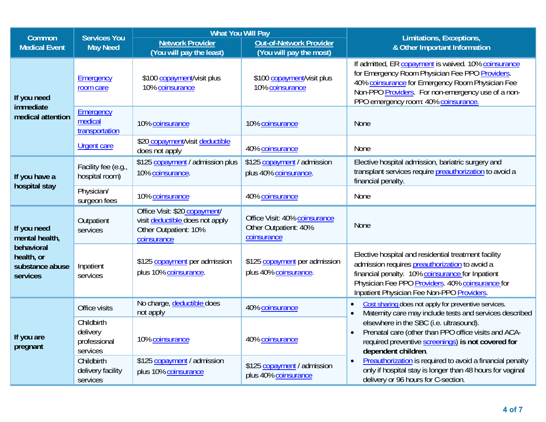| Common                                                  | <b>Services You</b><br><b>May Need</b>             | <b>What You Will Pay</b>                                                                                 |                                                                       | Limitations, Exceptions,                                                                                                                                                                                                                                     |  |
|---------------------------------------------------------|----------------------------------------------------|----------------------------------------------------------------------------------------------------------|-----------------------------------------------------------------------|--------------------------------------------------------------------------------------------------------------------------------------------------------------------------------------------------------------------------------------------------------------|--|
| <b>Medical Event</b>                                    |                                                    | <b>Network Provider</b><br>(You will pay the least)                                                      | <b>Out-of-Network Provider</b><br>(You will pay the most)             | & Other Important Information                                                                                                                                                                                                                                |  |
| If you need<br>immediate                                | Emergency<br>room care                             | \$100 copayment/visit plus<br>10% coinsurance                                                            | \$100 copayment/visit plus<br>10% coinsurance                         | If admitted, ER copayment is waived. 10% coinsurance<br>for Emergency Room Physician Fee PPO Providers.<br>40% coinsurance for Emergency Room Physician Fee<br>Non-PPO Providers. For non-emergency use of a non-<br>PPO emergency room: 40% coinsurance.    |  |
| medical attention                                       | Emergency<br>medical<br>transportation             | 10% coinsurance                                                                                          | 10% coinsurance                                                       | <b>None</b>                                                                                                                                                                                                                                                  |  |
|                                                         | <b>Urgent care</b>                                 | \$20 copayment/visit deductible<br>does not apply                                                        | 40% coinsurance                                                       | None                                                                                                                                                                                                                                                         |  |
| If you have a                                           | Facility fee (e.g.,<br>hospital room)              | \$125 copayment / admission plus<br>10% coinsurance.                                                     | \$125 copayment / admission<br>plus 40% coinsurance.                  | Elective hospital admission, bariatric surgery and<br>transplant services require preauthorization to avoid a<br>financial penalty.                                                                                                                          |  |
| hospital stay                                           | Physician/<br>surgeon fees                         | 10% coinsurance                                                                                          | 40% coinsurance                                                       | None                                                                                                                                                                                                                                                         |  |
| If you need<br>mental health,                           | Outpatient<br>services                             | Office Visit: \$20 copayment/<br>visit deductible does not apply<br>Other Outpatient: 10%<br>coinsurance | Office Visit: 40% coinsurance<br>Other Outpatient: 40%<br>coinsurance | <b>None</b>                                                                                                                                                                                                                                                  |  |
| behavioral<br>health, or<br>substance abuse<br>services | Inpatient<br>services                              | \$125 copayment per admission<br>plus 10% coinsurance.                                                   | \$125 copayment per admission<br>plus 40% coinsurance.                | Elective hospital and residential treatment facility<br>admission requires preauthorization to avoid a<br>financial penalty. 10% coinsurance for Inpatient<br>Physician Fee PPO Providers. 40% coinsurance for<br>Inpatient Physician Fee Non-PPO Providers. |  |
|                                                         | Office visits                                      | No charge, deductible does<br>not apply                                                                  | 40% coinsurance                                                       | Cost sharing does not apply for preventive services.<br>$\bullet$<br>Maternity care may include tests and services described<br>$\bullet$                                                                                                                    |  |
| If you are<br>pregnant                                  | Childbirth<br>delivery<br>professional<br>services | 10% coinsurance                                                                                          | 40% coinsurance                                                       | elsewhere in the SBC (i.e. ultrasound).<br>Prenatal care (other than PPO office visits and ACA-<br>$\bullet$<br>required preventive screenings) is not covered for<br>dependent children.                                                                    |  |
|                                                         | Childbirth<br>delivery facility<br>services        | \$125 copayment / admission<br>plus 10% coinsurance                                                      | \$125 copayment / admission<br>plus 40% coinsurance                   | Preauthorization is required to avoid a financial penalty<br>$\bullet$<br>only if hospital stay is longer than 48 hours for vaginal<br>delivery or 96 hours for C-section.                                                                                   |  |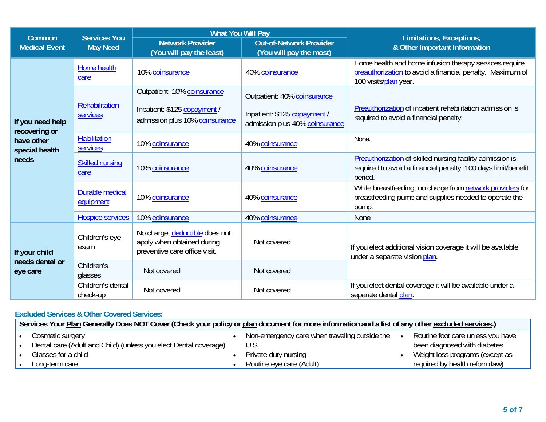|                                   | <b>Services You</b>                 | <b>What You Will Pay</b>                                                                      |                                                                |                                                                                                                                              |  |
|-----------------------------------|-------------------------------------|-----------------------------------------------------------------------------------------------|----------------------------------------------------------------|----------------------------------------------------------------------------------------------------------------------------------------------|--|
| Common<br><b>Medical Event</b>    | <b>May Need</b>                     | <b>Network Provider</b><br>(You will pay the least)                                           | <b>Out-of-Network Provider</b><br>(You will pay the most)      | Limitations, Exceptions,<br>& Other Important Information                                                                                    |  |
|                                   | Home health<br>care                 | 10% coinsurance                                                                               | 40% coinsurance                                                | Home health and home infusion therapy services require<br>preauthorization to avoid a financial penalty. Maximum of<br>100 visits/plan year. |  |
|                                   |                                     | Outpatient: 10% coinsurance                                                                   | Outpatient: 40% coinsurance                                    |                                                                                                                                              |  |
| If you need help<br>recovering or | Rehabilitation<br><b>services</b>   | Inpatient: \$125 copayment /<br>admission plus 10% coinsurance                                | Inpatient: \$125 copayment /<br>admission plus 40% coinsurance | Preauthorization of inpatient rehabilitation admission is<br>required to avoid a financial penalty.                                          |  |
| have other<br>special health      | <b>Habilitation</b><br>services     | 10% coinsurance                                                                               | 40% coinsurance                                                | None.                                                                                                                                        |  |
| needs                             | <b>Skilled nursing</b><br>care      | 10% coinsurance                                                                               | 40% coinsurance                                                | Preauthorization of skilled nursing facility admission is<br>required to avoid a financial penalty. 100 days limit/benefit<br>period.        |  |
|                                   | <b>Durable medical</b><br>equipment | 10% coinsurance                                                                               | 40% coinsurance                                                | While breastfeeding, no charge from network providers for<br>breastfeeding pump and supplies needed to operate the<br>pump.                  |  |
|                                   | <b>Hospice services</b>             | 10% coinsurance                                                                               | 40% coinsurance                                                | <b>None</b>                                                                                                                                  |  |
| If your child                     | Children's eye<br>exam              | No charge, deductible does not<br>apply when obtained during<br>preventive care office visit. | Not covered                                                    | If you elect additional vision coverage it will be available<br>under a separate vision plan.                                                |  |
| needs dental or<br>eye care       | Children's<br>glasses               | Not covered                                                                                   | Not covered                                                    |                                                                                                                                              |  |
|                                   | Children's dental<br>check-up       | Not covered                                                                                   | Not covered                                                    | If you elect dental coverage it will be available under a<br>separate dental plan.                                                           |  |

## **Excluded Services & Other Covered Services:**

| Services Your Plan Generally Does NOT Cover (Check your policy or plan document for more information and a list of any other excluded services.) |                                                                  |  |                                               |  |                                   |
|--------------------------------------------------------------------------------------------------------------------------------------------------|------------------------------------------------------------------|--|-----------------------------------------------|--|-----------------------------------|
|                                                                                                                                                  | Cosmetic surgery                                                 |  | Non-emergency care when traveling outside the |  | Routine foot care unless you have |
|                                                                                                                                                  | Dental care (Adult and Child) (unless you elect Dental coverage) |  | U.S.                                          |  | been diagnosed with diabetes      |
|                                                                                                                                                  | Glasses for a child                                              |  | Private-duty nursing                          |  | Weight loss programs (except as   |
|                                                                                                                                                  | Long-term care                                                   |  | Routine eye care (Adult)                      |  | required by health reform law)    |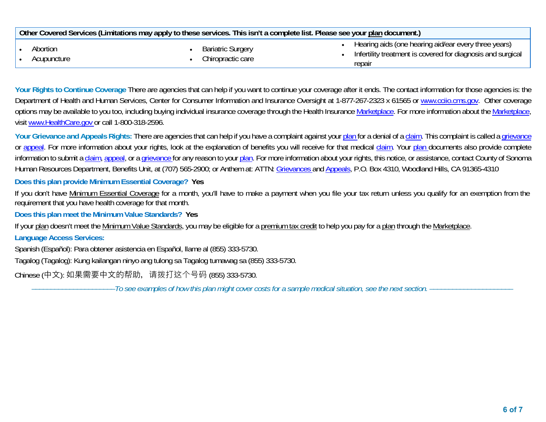| Other Covered Services (Limitations may apply to these services. This isn't a complete list. Please see your plan document.) |  |                                               |                                                                                                                               |  |
|------------------------------------------------------------------------------------------------------------------------------|--|-----------------------------------------------|-------------------------------------------------------------------------------------------------------------------------------|--|
| Abortion<br>Acupuncture                                                                                                      |  | <b>Bariatric Surgery</b><br>Chiropractic care | Hearing aids (one hearing aid/ear every three years)<br>Infertility treatment is covered for diagnosis and surgical<br>repair |  |

**Your Rights to Continue Coverage** There are agencies that can help if you want to continue your coverage after it ends. The contact information for those agencies is: the Department of Health and Human Services, Center for Consumer Information and Insurance Oversight at 1-877-267-2323 x 61565 or www.cciio.cms.gov. Other coverage options may be available to you too, including buying individual insurance coverage through the Health Insurance Marketplace. For more information about the Marketplace, visit www.HealthCare.gov or call 1-800-318-2596.

Your Grievance and Appeals Rights: There are agencies that can help if you have a complaint against your plan for a denial of a claim. This complaint is called a grievance or appeal. For more information about your rights, look at the explanation of benefits you will receive for that medical claim. Your plan documents also provide complete information to submit a claim, appeal, or a grievance for any reason to your plan. For more information about your rights, this notice, or assistance, contact County of Sonoma Human Resources Department, Benefits Unit, at (707) 565-2900; or Anthem at: ATTN: Grievances and Appeals, P.O. Box 4310, Woodland Hills, CA 91365-4310

**Does this plan provide Minimum Essential Coverage? Yes** 

If you don't have Minimum Essential Coverage for a month, you'll have to make a payment when you file your tax return unless you qualify for an exemption from the requirement that you have health coverage for that month.

**Does this plan meet the Minimum Value Standards? Yes** 

If your plan doesn't meet the Minimum Value Standards, you may be eligible for a premium tax credit to help you pay for a plan through the Marketplace.

**Language Access Services:** 

Spanish (Español): Para obtener asistencia en Español, llame al (855) 333-5730.

Tagalog (Tagalog): Kung kailangan ninyo ang tulong sa Tagalog tumawag sa (855) 333-5730.

Chinese (中⽂): 如果需要中⽂的帮助,请拨打这个号码 (855) 333-5730.

––––––––––––––––––––––*To see examples of how this plan might cover costs for a sample medical situation, see the next section.* ––––––––––––––––––––––